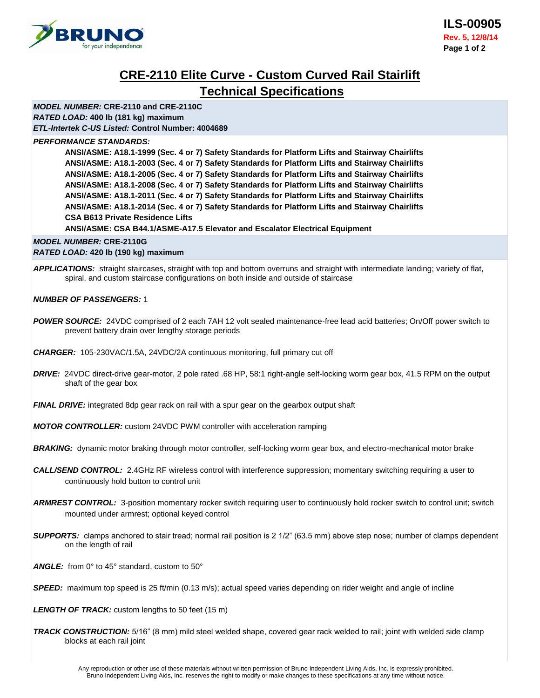

# **CRE-2110 Elite Curve - Custom Curved Rail Stairlift Technical Specifications**

*MODEL NUMBER:* **CRE-2110 and CRE-2110C** *RATED LOAD:* **400 lb (181 kg) maximum** *ETL-Intertek C-US Listed:* **Control Number: 4004689**

#### *PERFORMANCE STANDARDS:*

**ANSI/ASME: A18.1-1999 (Sec. 4 or 7) Safety Standards for Platform Lifts and Stairway Chairlifts ANSI/ASME: A18.1-2003 (Sec. 4 or 7) Safety Standards for Platform Lifts and Stairway Chairlifts ANSI/ASME: A18.1-2005 (Sec. 4 or 7) Safety Standards for Platform Lifts and Stairway Chairlifts ANSI/ASME: A18.1-2008 (Sec. 4 or 7) Safety Standards for Platform Lifts and Stairway Chairlifts ANSI/ASME: A18.1-2011 (Sec. 4 or 7) Safety Standards for Platform Lifts and Stairway Chairlifts ANSI/ASME: A18.1-2014 (Sec. 4 or 7) Safety Standards for Platform Lifts and Stairway Chairlifts CSA B613 Private Residence Lifts**

**ANSI/ASME: CSA B44.1/ASME-A17.5 Elevator and Escalator Electrical Equipment**

# *MODEL NUMBER:* **CRE-2110G**

*RATED LOAD:* **420 lb (190 kg) maximum**

*APPLICATIONS:* straight staircases, straight with top and bottom overruns and straight with intermediate landing; variety of flat, spiral, and custom staircase configurations on both inside and outside of staircase

# *NUMBER OF PASSENGERS:* 1

*POWER SOURCE:* 24VDC comprised of 2 each 7AH 12 volt sealed maintenance-free lead acid batteries; On/Off power switch to prevent battery drain over lengthy storage periods

*CHARGER:*105-230VAC/1.5A, 24VDC/2A continuous monitoring, full primary cut off

*DRIVE:* 24VDC direct-drive gear-motor, 2 pole rated .68 HP, 58:1 right-angle self-locking worm gear box, 41.5 RPM on the output shaft of the gear box

*FINAL DRIVE:* integrated 8dp gear rack on rail with a spur gear on the gearbox output shaft

*MOTOR CONTROLLER:* custom 24VDC PWM controller with acceleration ramping

**BRAKING:** dynamic motor braking through motor controller, self-locking worm gear box, and electro-mechanical motor brake

- *CALL/SEND CONTROL:*2.4GHz RF wireless control with interference suppression; momentary switching requiring a user to continuously hold button to control unit
- *ARMREST CONTROL:*3-position momentary rocker switch requiring user to continuously hold rocker switch to control unit; switch mounted under armrest; optional keyed control
- *SUPPORTS:*clamps anchored to stair tread; normal rail position is 2 1/2" (63.5 mm) above step nose; number of clamps dependent on the length of rail
- ANGLE: from 0° to 45° standard, custom to 50°

**SPEED:** maximum top speed is 25 ft/min (0.13 m/s); actual speed varies depending on rider weight and angle of incline

*LENGTH OF TRACK:* custom lengths to 50 feet (15 m)

*TRACK CONSTRUCTION:* 5/16" (8 mm) mild steel welded shape, covered gear rack welded to rail; joint with welded side clamp blocks at each rail joint